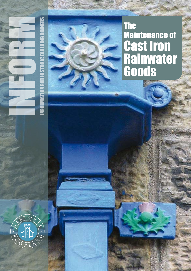

# The Maintenance of Cast Iron Rainwater Goods

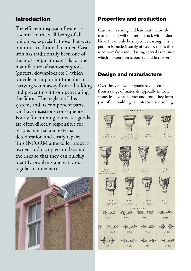# Introduction

The efficient disposal of water is essential to the well-being of all buildings, especially those that were built in a traditional manner. Cast iron has traditionally been one of the most popular materials for the manufacture of rainwater goods (gutters, downpipes etc.), which provide an important function in carrying water away from a building and preventing it from penetrating the fabric. The neglect of this system, and its component parts, can have disastrous consequences. Poorly functioning rainwater goods are often directly responsible for serious internal and external deterioration and costly repairs. This INFORM aims to let property owners and occupiers understand the risks so that they can quickly identify problems and carry out regular maintenance.



## Properties and production

Cast iron is strong and hard but is a brittle material and will shatter if struck with a sharp blow. It can only be shaped by casting. First a pattern is made (usually of wood), this is then used to make a mould using special sand, into which molten iron is poured and left to set.

# Design and manufacture

Over time, rainwater goods have been made from a range of materials, typically timber, stone, lead, zinc, copper and iron. They form part of the building's architecture and styling,

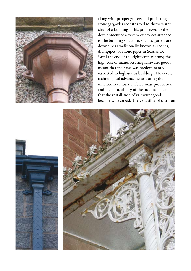

along with parapet gutters and projecting stone gargoyles (constructed to throw water clear of a building). This progressed to the development of a system of devices attached to the building structure, such as gutters and downpipes (traditionally known as rhones, drainpipes, or rhone pipes in Scotland). Until the end of the eighteenth century, the high cost of manufacturing rainwater goods meant that their use was predominantly restricted to high-status buildings. However, technological advancements during the nineteenth century enabled mass production, and the affordability of the products meant that the installation of rainwater goods became widespread. The versatility of cast iron



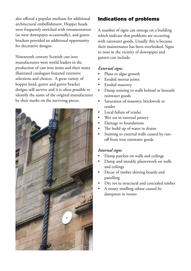also offered a popular medium for additional architectural embellishment. Hopper heads were frequently enriched with ornamentation (as were downpipes occasionally), and gutter brackets provided an additional opportunity for decorative designs.

Nineteenth century Scottish cast iron manufacturers were world leaders in the production of cast iron items and their many illustrated catalogues featured extensive selections and choices. A great variety of hopper head, gutter and gutter bracket designs still survive and it is often possible to identify the name of the original manufacturer by their marks on the surviving pieces.



## Indications of problems

A number of signs can emerge on a building which indicate that problems are occurring with rainwater goods. Usually this is because their maintenance has been overlooked. Signs to note in the vicinity of downpipes and gutters can include:

#### *External signs*

- Plant or algae growth
- Eroded mortar joints
- Eroded masonry
- Damp staining to walls behind or beneath rainwater goods
- Saturation of masonry, brickwork or render
- Local failure of render
- Wet rot in external joinery
- Damage to foundations
- The build up of water in drains
- Staining to external walls caused by runoff from iron rainwater goods

## *Internal signs*

- Damp patches on walls and ceilings
- Damp and mouldy plasterwork on walls and ceilings
- Decay of timber skirting boards and panelling
- Dry rot in structural and concealed timber
- A musty smelling odour caused by dampness in rooms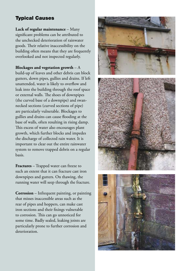# Typical Causes

**Lack of regular maintenance** – Many significant problems can be attributed to the unchecked deterioration of rainwater goods. Their relative inaccessibility on the building often means that they are frequently overlooked and not inspected regularly.

**Blockages and vegetation growth** – A build-up of leaves and other debris can block gutters, down pipes, gullies and drains. If left unattended, water is likely to overflow and leak into the building through the roof space or external walls. The shoes of downpipes (the curved base of a downpipe) and swannecked sections (curved sections of pipe) are particularly vulnerable. Blockages to gullies and drains can cause flooding at the base of walls, often resulting in rising damp. This excess of water also encourages plant growth, which further blocks and impedes the discharge of collected rain water. It is important to clear out the entire rainwater system to remove trapped debris on a regular basis.

**Fractures** – Trapped water can freeze to such an extent that it can fracture cast iron downpipes and gutters. On thawing, the running water will seep through the fracture.

**Corrosion** – Infrequent painting, or painting that misses inaccessible areas such as the rear of pipes and hoppers, can make cast iron sections and their fixings vulnerable to corrosion. This can go unnoticed for some time. Badly sealed, leaking joints are particularly prone to further corrosion and deterioration.

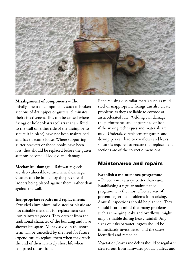

**Misalignment of components** – The misalignment of components, such as broken sections of drainpipes or gutters, eliminates their effectiveness. This can be caused where fixings or holder-batts (collars that are fixed to the wall on either side of the drainpipe to secure it in place) have not been maintained and have become loose. Where supporting gutter brackets or rhone hooks have been lost, they should be replaced before the gutter sections become dislodged and damaged.

**Mechanical damage** – Rainwater goods are also vulnerable to mechanical damage. Gutters can be broken by the pressure of ladders being placed against them, rather than against the wall.

**Inappropriate repairs and replacements** – Extruded aluminium, mild steel or plastic are

not suitable materials for replacement cast iron rainwater goods. They detract from the traditional character of the building and have shorter life spans. Money saved in the short term will be cancelled by the need for future expenditure to replace them when they reach the end of their relatively short life when compared to cast iron.

Repairs using dissimilar metals such as mild steel or inappropriate fixings can also create problems as they are liable to corrode at an accelerated rate. Welding can damage the performance and appearance of iron if the wrong techniques and materials are used. Undersized replacement gutters and downpipes can lead to overflows and leaks, so care is required to ensure that replacement sections are of the correct dimensions.

# Maintenance and repairs

**Establish a maintenance programme** 

– Prevention is always better than cure. Establishing a regular maintenance programme is the most effective way of preventing serious problems from arising. Annual inspections should be planned. They should bear in mind that many problems, such as emerging leaks and overflows, might only be visible during heavy rainfall. Any signs of leaks or water ingress should be immediately investigated, and the cause identified and remedied.

Vegetation, leaves and debris should be regularly cleared out from rainwater goods, gulleys and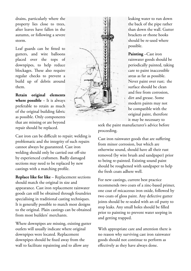drains, particularly where the property lies close to trees, after leaves have fallen in the autumn, or following a severe storm.

Leaf guards can be fitted to gutters, and wire balloons placed over the tops of downpipes, to help reduce blockages. These also require regular checks to prevent a build up of debris around them.

**Retain original elements where possible** – It is always preferable to retain as much of the original building fabric as possible. Only components that are missing or are beyond repair should be replaced.

Cast iron can be difficult to repair; welding is problematic and the integrity of such repairs cannot always be guaranteed. Cast iron welding should only be carried out off-site by experienced craftsmen. Badly damaged sections may need to be replaced by new castings with a matching profile.

**Replace like for like** – Replacement sections should match the original in size and appearance. Cast iron replacement rainwater goods can still be obtained through foundries specialising in traditional casting techniques. It is generally possible to match most designs to the original. Plain castings can be obtained from most builders' merchants.

Where downpipes are missing, existing gutter outlets will usually indicate where original downpipes were located. Replacement downpipes should be fixed away from the wall to facilitate repainting and to allow any



leaking water to run down the back of the pipe rather than down the wall. Gutter brackets or rhone hooks should be re-used where possible.

**Painting** –Cast iron rainwater goods should be periodically painted, taking care to paint inaccessible areas as far as possible. Never paint over rust; the surface should be clean and free from corrosion, dirt and grease. Some modern paints may not be compatible with the original paint, therefore it may be necessary to

seek the paint manufacturer's advice before proceeding.

Cast iron rainwater goods that are suffering from minor corrosion, but which are otherwise sound, should have all their rust removed (by wire brush and sandpaper) prior to being re-painted. Existing sound paint should be roughened with sandpaper to help the fresh coats adhere well.

For new castings, current best practice recommends two coats of a zinc-based primer, one coat of micaceous iron oxide, followed by two coats of gloss paint. Any defective gutter joints should be re-sealed with an oil putty to stop leaks. Any small holes should be filled prior to painting to prevent water seeping in and getting trapped.

With appropriate care and attention there is no reason why surviving cast iron rainwater goods should not continue to perform as effectively as they have always done.